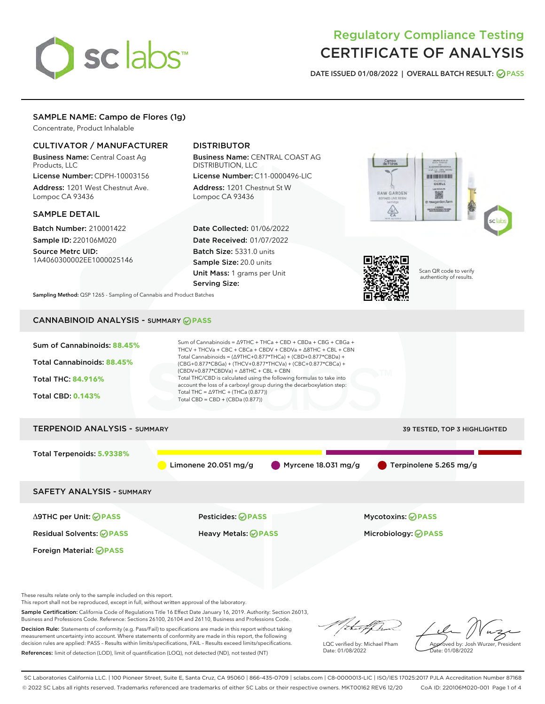# sclabs<sup>\*</sup>

# Regulatory Compliance Testing CERTIFICATE OF ANALYSIS

DATE ISSUED 01/08/2022 | OVERALL BATCH RESULT: @ PASS

# SAMPLE NAME: Campo de Flores (1g)

Concentrate, Product Inhalable

# CULTIVATOR / MANUFACTURER

Business Name: Central Coast Ag Products, LLC

License Number: CDPH-10003156 Address: 1201 West Chestnut Ave. Lompoc CA 93436

#### SAMPLE DETAIL

Batch Number: 210001422 Sample ID: 220106M020

Source Metrc UID: 1A4060300002EE1000025146

# DISTRIBUTOR

Business Name: CENTRAL COAST AG DISTRIBUTION, LLC

License Number: C11-0000496-LIC Address: 1201 Chestnut St W Lompoc CA 93436

Date Collected: 01/06/2022 Date Received: 01/07/2022 Batch Size: 5331.0 units Sample Size: 20.0 units Unit Mass: 1 grams per Unit Serving Size:





Scan QR code to verify authenticity of results.

Sampling Method: QSP 1265 - Sampling of Cannabis and Product Batches

# CANNABINOID ANALYSIS - SUMMARY **PASS**



These results relate only to the sample included on this report.

This report shall not be reproduced, except in full, without written approval of the laboratory.

Sample Certification: California Code of Regulations Title 16 Effect Date January 16, 2019. Authority: Section 26013, Business and Professions Code. Reference: Sections 26100, 26104 and 26110, Business and Professions Code.

Decision Rule: Statements of conformity (e.g. Pass/Fail) to specifications are made in this report without taking measurement uncertainty into account. Where statements of conformity are made in this report, the following decision rules are applied: PASS – Results within limits/specifications, FAIL – Results exceed limits/specifications. References: limit of detection (LOD), limit of quantification (LOQ), not detected (ND), not tested (NT)

ihat f h

LQC verified by: Michael Pham Date: 01/08/2022

Approved by: Josh Wurzer, President

ate: 01/08/2022

SC Laboratories California LLC. | 100 Pioneer Street, Suite E, Santa Cruz, CA 95060 | 866-435-0709 | sclabs.com | C8-0000013-LIC | ISO/IES 17025:2017 PJLA Accreditation Number 87168 © 2022 SC Labs all rights reserved. Trademarks referenced are trademarks of either SC Labs or their respective owners. MKT00162 REV6 12/20 CoA ID: 220106M020-001 Page 1 of 4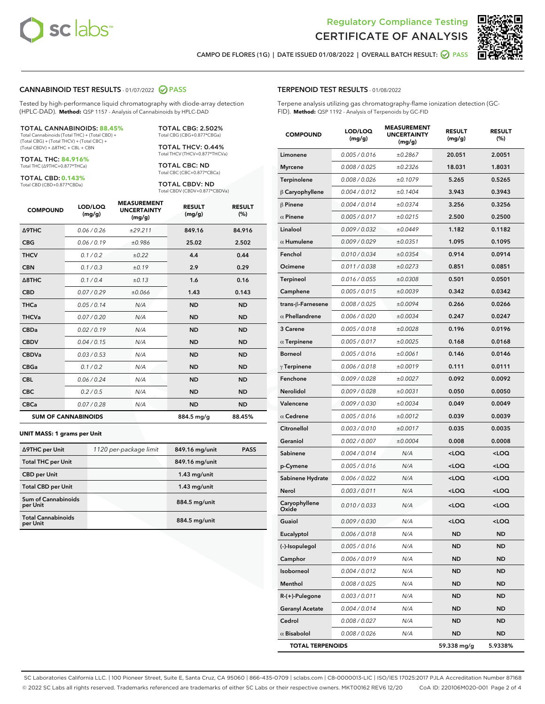



CAMPO DE FLORES (1G) | DATE ISSUED 01/08/2022 | OVERALL BATCH RESULT:  $\bigcirc$  PASS

#### CANNABINOID TEST RESULTS - 01/07/2022 2 PASS

Tested by high-performance liquid chromatography with diode-array detection (HPLC-DAD). **Method:** QSP 1157 - Analysis of Cannabinoids by HPLC-DAD

#### TOTAL CANNABINOIDS: **88.45%**

Total Cannabinoids (Total THC) + (Total CBD) + (Total CBG) + (Total THCV) + (Total CBC) + (Total CBDV) + ∆8THC + CBL + CBN

TOTAL THC: **84.916%** Total THC (∆9THC+0.877\*THCa)

TOTAL CBD: **0.143%**

Total CBD (CBD+0.877\*CBDa)

TOTAL CBG: 2.502% Total CBG (CBG+0.877\*CBGa)

TOTAL THCV: 0.44% Total THCV (THCV+0.877\*THCVa)

TOTAL CBC: ND Total CBC (CBC+0.877\*CBCa)

TOTAL CBDV: ND Total CBDV (CBDV+0.877\*CBDVa)

| <b>COMPOUND</b>            | LOD/LOQ<br>(mg/g) | <b>MEASUREMENT</b><br><b>UNCERTAINTY</b><br>(mg/g) | <b>RESULT</b><br>(mg/g) | <b>RESULT</b><br>(%) |
|----------------------------|-------------------|----------------------------------------------------|-------------------------|----------------------|
| <b>A9THC</b>               | 0.06/0.26         | ±29.211                                            | 849.16                  | 84.916               |
| <b>CBG</b>                 | 0.06/0.19         | ±0.986                                             | 25.02                   | 2.502                |
| <b>THCV</b>                | 0.1/0.2           | ±0.22                                              | 4.4                     | 0.44                 |
| <b>CBN</b>                 | 0.1/0.3           | ±0.19                                              | 2.9                     | 0.29                 |
| $\triangle$ 8THC           | 0.1/0.4           | ±0.13                                              | 1.6                     | 0.16                 |
| <b>CBD</b>                 | 0.07/0.29         | ±0.066                                             | 1.43                    | 0.143                |
| <b>THCa</b>                | 0.05/0.14         | N/A                                                | <b>ND</b>               | <b>ND</b>            |
| <b>THCVa</b>               | 0.07/0.20         | N/A                                                | <b>ND</b>               | <b>ND</b>            |
| <b>CBDa</b>                | 0.02/0.19         | N/A                                                | <b>ND</b>               | <b>ND</b>            |
| <b>CBDV</b>                | 0.04 / 0.15       | N/A                                                | <b>ND</b>               | <b>ND</b>            |
| <b>CBDVa</b>               | 0.03/0.53         | N/A                                                | <b>ND</b>               | <b>ND</b>            |
| <b>CBGa</b>                | 0.1/0.2           | N/A                                                | <b>ND</b>               | <b>ND</b>            |
| <b>CBL</b>                 | 0.06 / 0.24       | N/A                                                | <b>ND</b>               | <b>ND</b>            |
| <b>CBC</b>                 | 0.2 / 0.5         | N/A                                                | <b>ND</b>               | <b>ND</b>            |
| <b>CBCa</b>                | 0.07/0.28         | N/A                                                | <b>ND</b>               | <b>ND</b>            |
| <b>SUM OF CANNABINOIDS</b> |                   |                                                    | 884.5 mg/g              | 88.45%               |

#### **UNIT MASS: 1 grams per Unit**

| ∆9THC per Unit                        | 1120 per-package limit | 849.16 mg/unit | <b>PASS</b> |
|---------------------------------------|------------------------|----------------|-------------|
| <b>Total THC per Unit</b>             |                        | 849.16 mg/unit |             |
| <b>CBD per Unit</b>                   |                        | $1.43$ mg/unit |             |
| <b>Total CBD per Unit</b>             |                        | $1.43$ mg/unit |             |
| Sum of Cannabinoids<br>per Unit       |                        | 884.5 mg/unit  |             |
| <b>Total Cannabinoids</b><br>per Unit |                        | 884.5 mg/unit  |             |

| <b>COMPOUND</b>         | LOD/LOQ<br>(mg/g) | <b>MEASUREMENT</b><br><b>UNCERTAINTY</b><br>(mg/g) | <b>RESULT</b><br>(mg/g)                         | <b>RESULT</b><br>(%) |
|-------------------------|-------------------|----------------------------------------------------|-------------------------------------------------|----------------------|
| Limonene                | 0.005 / 0.016     | ±0.2867                                            | 20.051                                          | 2.0051               |
| <b>Myrcene</b>          | 0.008 / 0.025     | ±0.2326                                            | 18.031                                          | 1.8031               |
| Terpinolene             | 0.008 / 0.026     | ±0.1079                                            | 5.265                                           | 0.5265               |
| $\beta$ Caryophyllene   | 0.004 / 0.012     | ±0.1404                                            | 3.943                                           | 0.3943               |
| $\beta$ Pinene          | 0.004 / 0.014     | ±0.0374                                            | 3.256                                           | 0.3256               |
| $\alpha$ Pinene         | 0.005 / 0.017     | ±0.0215                                            | 2.500                                           | 0.2500               |
| Linalool                | 0.009 / 0.032     | ±0.0449                                            | 1.182                                           | 0.1182               |
| $\alpha$ Humulene       | 0.009 / 0.029     | ±0.0351                                            | 1.095                                           | 0.1095               |
| Fenchol                 | 0.010 / 0.034     | ±0.0354                                            | 0.914                                           | 0.0914               |
| Ocimene                 | 0.011 / 0.038     | ±0.0273                                            | 0.851                                           | 0.0851               |
| Terpineol               | 0.016 / 0.055     | ±0.0308                                            | 0.501                                           | 0.0501               |
| Camphene                | 0.005 / 0.015     | ±0.0039                                            | 0.342                                           | 0.0342               |
| trans-ß-Farnesene       | 0.008 / 0.025     | ±0.0094                                            | 0.266                                           | 0.0266               |
| $\alpha$ Phellandrene   | 0.006 / 0.020     | ±0.0034                                            | 0.247                                           | 0.0247               |
| 3 Carene                | 0.005 / 0.018     | ±0.0028                                            | 0.196                                           | 0.0196               |
| $\alpha$ Terpinene      | 0.005 / 0.017     | ±0.0025                                            | 0.168                                           | 0.0168               |
| <b>Borneol</b>          | 0.005 / 0.016     | ±0.0061                                            | 0.146                                           | 0.0146               |
| $\gamma$ Terpinene      | 0.006 / 0.018     | ±0.0019                                            | 0.111                                           | 0.0111               |
| Fenchone                | 0.009 / 0.028     | ±0.0027                                            | 0.092                                           | 0.0092               |
| Nerolidol               | 0.009 / 0.028     | ±0.0031                                            | 0.050                                           | 0.0050               |
| Valencene               | 0.009 / 0.030     | ±0.0034                                            | 0.049                                           | 0.0049               |
| $\alpha$ Cedrene        | 0.005 / 0.016     | ±0.0012                                            | 0.039                                           | 0.0039               |
| Citronellol             | 0.003 / 0.010     | ±0.0017                                            | 0.035                                           | 0.0035               |
| Geraniol                | 0.002 / 0.007     | ±0.0004                                            | 0.008                                           | 0.0008               |
| Sabinene                | 0.004 / 0.014     | N/A                                                | <loq< th=""><th><loq< th=""></loq<></th></loq<> | <loq< th=""></loq<>  |
| p-Cymene                | 0.005 / 0.016     | N/A                                                | 100                                             | <loq< th=""></loq<>  |
| Sabinene Hydrate        | 0.006 / 0.022     | N/A                                                | <loq< th=""><th><loq< th=""></loq<></th></loq<> | <loq< th=""></loq<>  |
| Nerol                   | 0.003 / 0.011     | N/A                                                | <loq< th=""><th><loq< th=""></loq<></th></loq<> | <loq< th=""></loq<>  |
| Caryophyllene<br>Oxide  | 0.010 / 0.033     | N/A                                                | <loq< th=""><th><loq< th=""></loq<></th></loq<> | <loq< th=""></loq<>  |
| Guaiol                  | 0.009 / 0.030     | N/A                                                | 100                                             | <loq< th=""></loq<>  |
| Eucalyptol              | 0.006 / 0.018     | N/A                                                | ND                                              | ND                   |
| (-)-Isopulegol          | 0.005 / 0.016     | N/A                                                | ND                                              | ND                   |
| Camphor                 | 0.006 / 0.019     | N/A                                                | ND                                              | ND                   |
| Isoborneol              | 0.004 / 0.012     | N/A                                                | ND                                              | ND                   |
| Menthol                 | 0.008 / 0.025     | N/A                                                | ND                                              | ND                   |
| R-(+)-Pulegone          | 0.003 / 0.011     | N/A                                                | ND                                              | ND                   |
| <b>Geranyl Acetate</b>  | 0.004 / 0.014     | N/A                                                | ND                                              | ND                   |
| Cedrol                  | 0.008 / 0.027     | N/A                                                | ND                                              | ND                   |
| $\alpha$ Bisabolol      | 0.008 / 0.026     | N/A                                                | ND                                              | ND                   |
| <b>TOTAL TERPENOIDS</b> |                   |                                                    | 59.338 mg/g                                     | 5.9338%              |

SC Laboratories California LLC. | 100 Pioneer Street, Suite E, Santa Cruz, CA 95060 | 866-435-0709 | sclabs.com | C8-0000013-LIC | ISO/IES 17025:2017 PJLA Accreditation Number 87168 © 2022 SC Labs all rights reserved. Trademarks referenced are trademarks of either SC Labs or their respective owners. MKT00162 REV6 12/20 CoA ID: 220106M020-001 Page 2 of 4

# TERPENOID TEST RESULTS - 01/08/2022

Terpene analysis utilizing gas chromatography-flame ionization detection (GC-FID). **Method:** QSP 1192 - Analysis of Terpenoids by GC-FID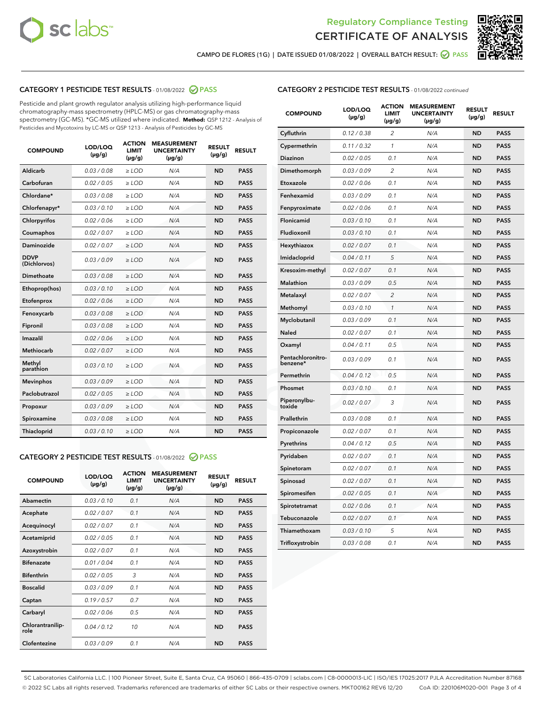



CAMPO DE FLORES (1G) | DATE ISSUED 01/08/2022 | OVERALL BATCH RESULT:  $\bigcirc$  PASS

# CATEGORY 1 PESTICIDE TEST RESULTS - 01/08/2022 2 PASS

Pesticide and plant growth regulator analysis utilizing high-performance liquid chromatography-mass spectrometry (HPLC-MS) or gas chromatography-mass spectrometry (GC-MS). \*GC-MS utilized where indicated. **Method:** QSP 1212 - Analysis of Pesticides and Mycotoxins by LC-MS or QSP 1213 - Analysis of Pesticides by GC-MS

| <b>COMPOUND</b>             | LOD/LOQ<br>$(\mu g/g)$ | <b>ACTION</b><br><b>LIMIT</b><br>$(\mu q/q)$ | <b>MEASUREMENT</b><br><b>UNCERTAINTY</b><br>$(\mu g/g)$ | <b>RESULT</b><br>$(\mu g/g)$ | <b>RESULT</b> |
|-----------------------------|------------------------|----------------------------------------------|---------------------------------------------------------|------------------------------|---------------|
| Aldicarb                    | 0.03 / 0.08            | $\ge$ LOD                                    | N/A                                                     | <b>ND</b>                    | <b>PASS</b>   |
| Carbofuran                  | 0.02 / 0.05            | $\ge$ LOD                                    | N/A                                                     | <b>ND</b>                    | <b>PASS</b>   |
| Chlordane*                  | 0.03 / 0.08            | $\ge$ LOD                                    | N/A                                                     | <b>ND</b>                    | <b>PASS</b>   |
| Chlorfenapyr*               | 0.03/0.10              | $\ge$ LOD                                    | N/A                                                     | <b>ND</b>                    | <b>PASS</b>   |
| Chlorpyrifos                | 0.02 / 0.06            | $\ge$ LOD                                    | N/A                                                     | <b>ND</b>                    | <b>PASS</b>   |
| Coumaphos                   | 0.02 / 0.07            | $\ge$ LOD                                    | N/A                                                     | <b>ND</b>                    | <b>PASS</b>   |
| Daminozide                  | 0.02 / 0.07            | $\ge$ LOD                                    | N/A                                                     | <b>ND</b>                    | <b>PASS</b>   |
| <b>DDVP</b><br>(Dichlorvos) | 0.03/0.09              | $\ge$ LOD                                    | N/A                                                     | <b>ND</b>                    | <b>PASS</b>   |
| Dimethoate                  | 0.03 / 0.08            | $\ge$ LOD                                    | N/A                                                     | <b>ND</b>                    | <b>PASS</b>   |
| Ethoprop(hos)               | 0.03/0.10              | $\ge$ LOD                                    | N/A                                                     | <b>ND</b>                    | <b>PASS</b>   |
| Etofenprox                  | 0.02/0.06              | $>$ LOD                                      | N/A                                                     | <b>ND</b>                    | <b>PASS</b>   |
| Fenoxycarb                  | 0.03 / 0.08            | $\ge$ LOD                                    | N/A                                                     | <b>ND</b>                    | <b>PASS</b>   |
| Fipronil                    | 0.03/0.08              | $>$ LOD                                      | N/A                                                     | <b>ND</b>                    | <b>PASS</b>   |
| Imazalil                    | 0.02 / 0.06            | $\ge$ LOD                                    | N/A                                                     | <b>ND</b>                    | <b>PASS</b>   |
| Methiocarb                  | 0.02 / 0.07            | $\ge$ LOD                                    | N/A                                                     | <b>ND</b>                    | <b>PASS</b>   |
| Methyl<br>parathion         | 0.03/0.10              | $>$ LOD                                      | N/A                                                     | <b>ND</b>                    | <b>PASS</b>   |
| <b>Mevinphos</b>            | 0.03/0.09              | $>$ LOD                                      | N/A                                                     | <b>ND</b>                    | <b>PASS</b>   |
| Paclobutrazol               | 0.02 / 0.05            | $>$ LOD                                      | N/A                                                     | <b>ND</b>                    | <b>PASS</b>   |
| Propoxur                    | 0.03/0.09              | $\ge$ LOD                                    | N/A                                                     | <b>ND</b>                    | <b>PASS</b>   |
| Spiroxamine                 | 0.03 / 0.08            | $\ge$ LOD                                    | N/A                                                     | <b>ND</b>                    | <b>PASS</b>   |
| Thiacloprid                 | 0.03/0.10              | $\ge$ LOD                                    | N/A                                                     | <b>ND</b>                    | <b>PASS</b>   |

### CATEGORY 2 PESTICIDE TEST RESULTS - 01/08/2022 2 PASS

| <b>COMPOUND</b>          | LOD/LOQ<br>$(\mu g/g)$ | <b>ACTION</b><br><b>LIMIT</b><br>$(\mu g/g)$ | <b>MEASUREMENT</b><br><b>UNCERTAINTY</b><br>$(\mu g/g)$ | <b>RESULT</b><br>$(\mu g/g)$ | <b>RESULT</b> |
|--------------------------|------------------------|----------------------------------------------|---------------------------------------------------------|------------------------------|---------------|
| Abamectin                | 0.03/0.10              | 0.1                                          | N/A                                                     | <b>ND</b>                    | <b>PASS</b>   |
| Acephate                 | 0.02/0.07              | 0.1                                          | N/A                                                     | <b>ND</b>                    | <b>PASS</b>   |
| Acequinocyl              | 0.02/0.07              | 0.1                                          | N/A                                                     | <b>ND</b>                    | <b>PASS</b>   |
| Acetamiprid              | 0.02/0.05              | 0.1                                          | N/A                                                     | <b>ND</b>                    | <b>PASS</b>   |
| Azoxystrobin             | 0.02/0.07              | 0.1                                          | N/A                                                     | <b>ND</b>                    | <b>PASS</b>   |
| <b>Bifenazate</b>        | 0.01/0.04              | 0.1                                          | N/A                                                     | <b>ND</b>                    | <b>PASS</b>   |
| <b>Bifenthrin</b>        | 0.02 / 0.05            | 3                                            | N/A                                                     | <b>ND</b>                    | <b>PASS</b>   |
| <b>Boscalid</b>          | 0.03/0.09              | 0.1                                          | N/A                                                     | <b>ND</b>                    | <b>PASS</b>   |
| Captan                   | 0.19/0.57              | 0.7                                          | N/A                                                     | <b>ND</b>                    | <b>PASS</b>   |
| Carbaryl                 | 0.02/0.06              | 0.5                                          | N/A                                                     | <b>ND</b>                    | <b>PASS</b>   |
| Chlorantranilip-<br>role | 0.04/0.12              | 10                                           | N/A                                                     | <b>ND</b>                    | <b>PASS</b>   |
| Clofentezine             | 0.03/0.09              | 0.1                                          | N/A                                                     | <b>ND</b>                    | <b>PASS</b>   |

| <b>COMPOUND</b>               | LOD/LOQ<br>$(\mu g/g)$ | <b>ACTION</b><br>LIMIT<br>(µg/g) | <b>MEASUREMENT</b><br><b>UNCERTAINTY</b><br>(µg/g) | <b>RESULT</b><br>$(\mu g/g)$ | <b>RESULT</b> |
|-------------------------------|------------------------|----------------------------------|----------------------------------------------------|------------------------------|---------------|
| Cyfluthrin                    | 0.12 / 0.38            | $\overline{c}$                   | N/A                                                | ND                           | <b>PASS</b>   |
| Cypermethrin                  | 0.11 / 0.32            | 1                                | N/A                                                | <b>ND</b>                    | <b>PASS</b>   |
| Diazinon                      | 0.02 / 0.05            | 0.1                              | N/A                                                | <b>ND</b>                    | <b>PASS</b>   |
| Dimethomorph                  | 0.03 / 0.09            | 2                                | N/A                                                | <b>ND</b>                    | <b>PASS</b>   |
| Etoxazole                     | 0.02 / 0.06            | 0.1                              | N/A                                                | <b>ND</b>                    | <b>PASS</b>   |
| Fenhexamid                    | 0.03 / 0.09            | 0.1                              | N/A                                                | <b>ND</b>                    | <b>PASS</b>   |
| Fenpyroximate                 | 0.02 / 0.06            | 0.1                              | N/A                                                | <b>ND</b>                    | <b>PASS</b>   |
| Flonicamid                    | 0.03 / 0.10            | 0.1                              | N/A                                                | <b>ND</b>                    | <b>PASS</b>   |
| Fludioxonil                   | 0.03/0.10              | 0.1                              | N/A                                                | <b>ND</b>                    | <b>PASS</b>   |
| Hexythiazox                   | 0.02 / 0.07            | 0.1                              | N/A                                                | <b>ND</b>                    | <b>PASS</b>   |
| Imidacloprid                  | 0.04 / 0.11            | 5                                | N/A                                                | <b>ND</b>                    | <b>PASS</b>   |
| Kresoxim-methyl               | 0.02 / 0.07            | 0.1                              | N/A                                                | <b>ND</b>                    | <b>PASS</b>   |
| <b>Malathion</b>              | 0.03 / 0.09            | 0.5                              | N/A                                                | <b>ND</b>                    | <b>PASS</b>   |
| Metalaxyl                     | 0.02 / 0.07            | $\overline{c}$                   | N/A                                                | <b>ND</b>                    | <b>PASS</b>   |
| Methomyl                      | 0.03 / 0.10            | $\mathcal{I}$                    | N/A                                                | <b>ND</b>                    | <b>PASS</b>   |
| Myclobutanil                  | 0.03 / 0.09            | 0.1                              | N/A                                                | <b>ND</b>                    | <b>PASS</b>   |
| Naled                         | 0.02 / 0.07            | 0.1                              | N/A                                                | <b>ND</b>                    | <b>PASS</b>   |
| Oxamyl                        | 0.04 / 0.11            | 0.5                              | N/A                                                | <b>ND</b>                    | <b>PASS</b>   |
| Pentachloronitro-<br>benzene* | 0.03/0.09              | 0.1                              | N/A                                                | <b>ND</b>                    | <b>PASS</b>   |
| Permethrin                    | 0.04 / 0.12            | 0.5                              | N/A                                                | <b>ND</b>                    | <b>PASS</b>   |
| Phosmet                       | 0.03 / 0.10            | 0.1                              | N/A                                                | <b>ND</b>                    | <b>PASS</b>   |
| Piperonylbu-<br>toxide        | 0.02 / 0.07            | 3                                | N/A                                                | <b>ND</b>                    | <b>PASS</b>   |
| Prallethrin                   | 0.03 / 0.08            | 0.1                              | N/A                                                | <b>ND</b>                    | <b>PASS</b>   |
| Propiconazole                 | 0.02 / 0.07            | 0.1                              | N/A                                                | <b>ND</b>                    | <b>PASS</b>   |
| Pyrethrins                    | 0.04 / 0.12            | 0.5                              | N/A                                                | <b>ND</b>                    | <b>PASS</b>   |
| Pyridaben                     | 0.02 / 0.07            | 0.1                              | N/A                                                | <b>ND</b>                    | <b>PASS</b>   |
| Spinetoram                    | 0.02 / 0.07            | 0.1                              | N/A                                                | ND                           | <b>PASS</b>   |
| Spinosad                      | 0.02 / 0.07            | 0.1                              | N/A                                                | <b>ND</b>                    | <b>PASS</b>   |
| Spiromesifen                  | 0.02 / 0.05            | 0.1                              | N/A                                                | <b>ND</b>                    | <b>PASS</b>   |
| Spirotetramat                 | 0.02 / 0.06            | 0.1                              | N/A                                                | <b>ND</b>                    | <b>PASS</b>   |
| Tebuconazole                  | 0.02 / 0.07            | 0.1                              | N/A                                                | ND                           | <b>PASS</b>   |
| Thiamethoxam                  | 0.03 / 0.10            | 5                                | N/A                                                | <b>ND</b>                    | <b>PASS</b>   |
| Trifloxystrobin               | 0.03 / 0.08            | 0.1                              | N/A                                                | <b>ND</b>                    | <b>PASS</b>   |

SC Laboratories California LLC. | 100 Pioneer Street, Suite E, Santa Cruz, CA 95060 | 866-435-0709 | sclabs.com | C8-0000013-LIC | ISO/IES 17025:2017 PJLA Accreditation Number 87168 © 2022 SC Labs all rights reserved. Trademarks referenced are trademarks of either SC Labs or their respective owners. MKT00162 REV6 12/20 CoA ID: 220106M020-001 Page 3 of 4